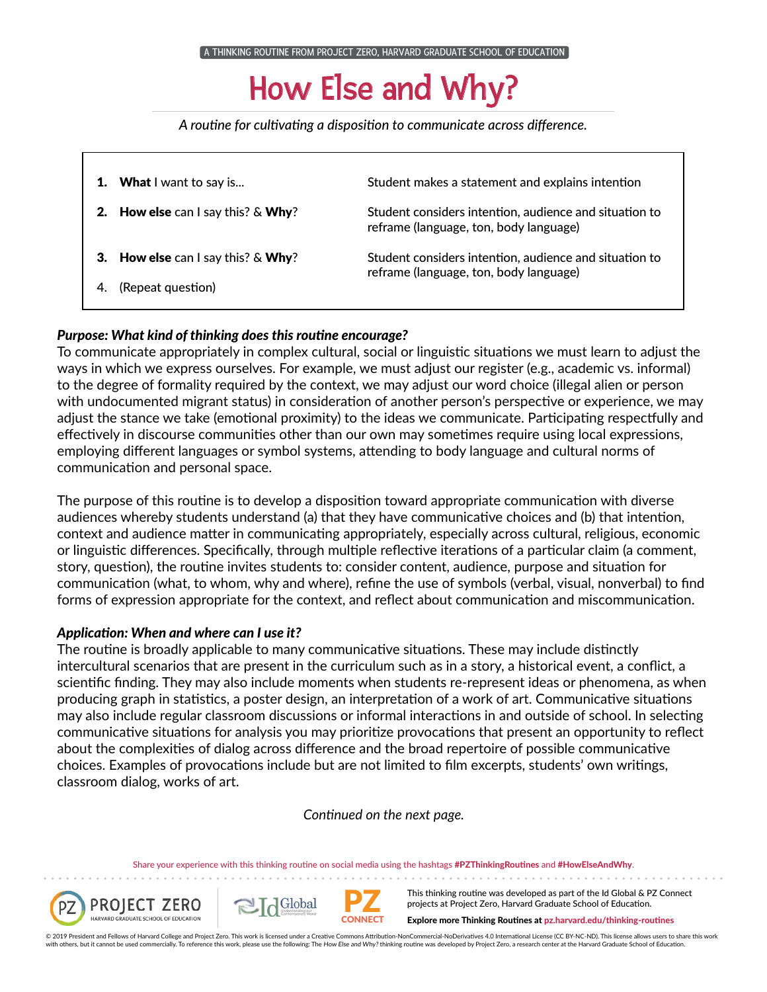## How Else and Why?

*A routine for cultivating a disposition to communicate across difference.*

|    | What I want to say is                             | Student makes a statement and explains intention                                                 |
|----|---------------------------------------------------|--------------------------------------------------------------------------------------------------|
| 2. | <b>How else</b> can I say this? $\&$ <b>Why</b> ? | Student considers intention, audience and situation to<br>reframe (language, ton, body language) |
| З. | <b>How else</b> can I say this? $&$ <b>Why</b> ?  | Student considers intention, audience and situation to<br>reframe (language, ton, body language) |
| 4. | (Repeat question)                                 |                                                                                                  |

### *Purpose: What kind of thinking does this routine encourage?*

To communicate appropriately in complex cultural, social or linguistic situations we must learn to adjust the ways in which we express ourselves. For example, we must adjust our register (e.g., academic vs. informal) to the degree of formality required by the context, we may adjust our word choice (illegal alien or person with undocumented migrant status) in consideration of another person's perspective or experience, we may adjust the stance we take (emotional proximity) to the ideas we communicate. Participating respectfully and effectively in discourse communities other than our own may sometimes require using local expressions, employing different languages or symbol systems, attending to body language and cultural norms of communication and personal space.

The purpose of this routine is to develop a disposition toward appropriate communication with diverse audiences whereby students understand (a) that they have communicative choices and (b) that intention, context and audience matter in communicating appropriately, especially across cultural, religious, economic or linguistic differences. Specifically, through multiple reflective iterations of a particular claim (a comment, story, question), the routine invites students to: consider content, audience, purpose and situation for communication (what, to whom, why and where), refine the use of symbols (verbal, visual, nonverbal) to find forms of expression appropriate for the context, and reflect about communication and miscommunication.

### *Application: When and where can I use it?*

The routine is broadly applicable to many communicative situations. These may include distinctly intercultural scenarios that are present in the curriculum such as in a story, a historical event, a conflict, a scientific finding. They may also include moments when students re-represent ideas or phenomena, as when producing graph in statistics, a poster design, an interpretation of a work of art. Communicative situations may also include regular classroom discussions or informal interactions in and outside of school. In selecting communicative situations for analysis you may prioritize provocations that present an opportunity to reflect about the complexities of dialog across difference and the broad repertoire of possible communicative choices. Examples of provocations include but are not limited to film excerpts, students' own writings, classroom dialog, works of art.

*Continued on the next page.*

Share your experience with this thinking routine on social media using the hashtags #PZThinkingRoutines and #HowElseAndWhy.

**PZ** 





This thinking routine was developed as part of the Id Global & PZ Connect projects at Project Zero, Harvard Graduate School of Education.

Explore more Thinking Routines at pz.harvard.edu/thinking-routines

© 2019 President and Fellows of Harvard College and Project Zero. This work is licensed under a Creative Commons Attribution-NonCommercial-NoDerivatives 4.0 International License (CC BY-NC-ND). This license allows users to with others, but it cannot be used commercially. To reference this work, please use the following: The How Else and Why? thinking routine was developed by Project Zero, a research center at the Harvard Graduate School of E